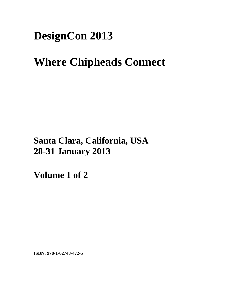# **DesignCon 2013**

# **Where Chipheads Connect**

**Santa Clara, California, USA 28-31 January 2013**

**Volume 1 of 2** 

**ISBN: 978-1-62748-472-5**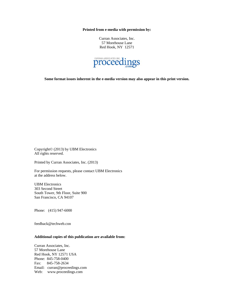**Printed from e-media with permission by:** 

Curran Associates, Inc. 57 Morehouse Lane Red Hook, NY 12571



**Some format issues inherent in the e-media version may also appear in this print version.** 

Copyright© (2013) by UBM Electronics All rights reserved.

Printed by Curran Associates, Inc. (2013)

For permission requests, please contact UBM Electronics at the address below.

UBM Electronics 303 Second Street South Tower, 9th Floor, Suite 900 San Francisco, CA 94107

Phone: (415) 947-6000

feedback@techweb.con

### **Additional copies of this publication are available from:**

Curran Associates, Inc. 57 Morehouse Lane Red Hook, NY 12571 USA Phone: 845-758-0400 Fax: 845-758-2634 Email: curran@proceedings.com Web: www.proceedings.com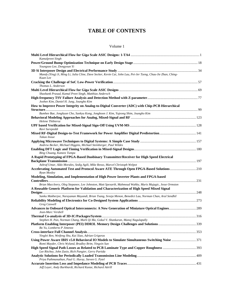## **TABLE OF CONTENTS**

#### Volume 1

| Kamalpreet Singh                                                                                                                                       |  |
|--------------------------------------------------------------------------------------------------------------------------------------------------------|--|
| Youngsoo Lee, Dongyoun Yi                                                                                                                              |  |
|                                                                                                                                                        |  |
| Mandy (Ying) Ji, Ming Li, Julia Cline, Dave Secker, Kevin Cai, John Lau, Pei-Jer Tzeng, Chau-Jie Zhan, Ching-<br>Kuan Lee                              |  |
| Thomas L. Anderson                                                                                                                                     |  |
| Shashank Prasad, Kamal Preet Singh, Matthias Andersch                                                                                                  |  |
| Joohee Kim, Daniel H. Jung, Joungho Kim                                                                                                                |  |
| How to Improve Power Integrity on Analog-to-Digital Converter (ADC) with Chip-PCB Hierarchical                                                         |  |
|                                                                                                                                                        |  |
| Bumhee Bae, Jonghyun Cho, Sunkyu Kong, Jonghoon J. Kim, Yujeong Shim, Joungho Kim                                                                      |  |
| Helene Thibieroz                                                                                                                                       |  |
|                                                                                                                                                        |  |
| Ravi Surepeddi                                                                                                                                         |  |
|                                                                                                                                                        |  |
| Takao Inoue                                                                                                                                            |  |
|                                                                                                                                                        |  |
| Andrew Becker, Michael Higgins, Michael Steinberger, Paul Wildes                                                                                       |  |
| Bing Chuang, Kaneez Tumpa                                                                                                                              |  |
| A Rapid Prototyping of FPGA-Based Duobinary Transmitter/Receiver for High Speed Electrical                                                             |  |
|                                                                                                                                                        |  |
| Ashraf Umar, Aldo Morales, Sedig Agili, Mike Resso, Marcel Christoph Welpot                                                                            |  |
| Accelerating Automated Test and Protocol Aware ATE Through Open FPGA-Based Solutions210<br>Ryan Mosley                                                 |  |
| Modeling, Simulation, and Implementation of High Power Inverter Plants and FPGA-based                                                                  |  |
|                                                                                                                                                        |  |
| Brian Maccleery, Oleg Stepanov, Lee Johnston, Matt Spexarth, Mahmoud Wahby, Muris Mujagic, Jesse Ormston                                               |  |
| A Reusable Generic Platform for Validation and Characterization of High Speed Mixed Signal                                                             |  |
|                                                                                                                                                        |  |
| Sanku Mukherjee, Narayanan Mayandi, Brian Tsang, Sreeja Menon, Benedict Lau, Norman Chan, Arul Sendhil                                                 |  |
| <b>Greg Caswell</b>                                                                                                                                    |  |
| Advances in Onboard Optical Interconnects: A New Generation of Miniature Optical Engines 289                                                           |  |
| Jean-Marc Verdiell                                                                                                                                     |  |
|                                                                                                                                                        |  |
| Stephen H. Pan, Norman Chang, Mark Qi Ma, Gokul V. Shankaran, Manoj Nagulapally                                                                        |  |
|                                                                                                                                                        |  |
| Bo Yu, Lomberto P Jimenez                                                                                                                              |  |
|                                                                                                                                                        |  |
| Yinglei Ren, Weifeng Shu, Kai Xiao, Adrian Grigoras                                                                                                    |  |
| Using Power Aware IBIS v5.0 Behavioral IO Models to Simulate Simultaneous Switching Noise  371<br>Romi Mayder, Chris Wyland, Bradley Brim, Yingxin Sun |  |
| Lee Ritchey, John Zasio, Rich Pangier, Gerry Partida                                                                                                   |  |
|                                                                                                                                                        |  |
| Priya Pathmanathan, Paul G. Huray, Steven G. Pytel                                                                                                     |  |
|                                                                                                                                                        |  |
| Jeff Lover, Andy Burkhardt, Richard Kunze, Richard Attrill                                                                                             |  |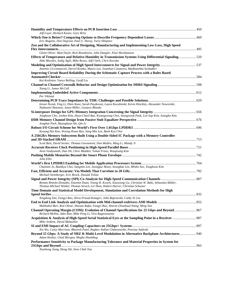| Jeff Loyer, Richard Kunze, Gary Brist                                                                                                                                                        |  |
|----------------------------------------------------------------------------------------------------------------------------------------------------------------------------------------------|--|
| Eric Bogatin, Don Degroot, Paul G. Huray, Yuriy Shlepnev                                                                                                                                     |  |
| Zen and the Collaborative Art of Designing, Manufacturing and Implementing Low-Loss, High Speed                                                                                              |  |
|                                                                                                                                                                                              |  |
| Glenn Oliver, Matt Doyle, Rick Brandwein, John Dangler, Paul Abrahamson                                                                                                                      |  |
| Effects of Temperature and Relative Humidity in Transmission Systems Using Differential Signaling520<br>Aldo Morales, Sedig Agili, Mike Resso, Jeff Clark, Chris Kocuba                      |  |
| Antonio Ciccomancini, Darryl Kostka, Mauro Lai, Jonathan Casanova, Madhumitha Seshadhri                                                                                                      |  |
| Improving Circuit Board Reliability During the Schematic Capture Process with a Rules Based                                                                                                  |  |
| Kai Keskinen, Vance Bolling, Geoff Liu                                                                                                                                                       |  |
| Xiang Li, James McCall                                                                                                                                                                       |  |
| Per Viklund                                                                                                                                                                                  |  |
|                                                                                                                                                                                              |  |
| Istvan Novak, Ying Li, Eben Kunz, Sarah Paydavosi, Laura Kocubinski, Kevin Hinckley, Alexander Nosovitski,<br>Nathaniel Shannon, Jason Miller, Gustavo Blando                                |  |
|                                                                                                                                                                                              |  |
| Jonghyun Cho, Joohee Kim, Hyun-Cheol Bae, Kwangseong Choi, Seungwook Paek, Lee-Sup Kim, Joungho Kim                                                                                          |  |
| Jongbae Park, Myunghyun Ha, Qin Li                                                                                                                                                           |  |
|                                                                                                                                                                                              |  |
| Kyoung Hoi Koo, Woong Hwan Ryu, Sang Min Lee, Baek Kyu Choi                                                                                                                                  |  |
| A 256GB/s Memory Subsystem Built Using a Double-Sided IC Package with a Memory Controller                                                                                                    |  |
|                                                                                                                                                                                              |  |
| Scott Best, David Secker, Thomas Giovannini, Don Mullen, Ming Li, Mandy Ji                                                                                                                   |  |
|                                                                                                                                                                                              |  |
| Arun Vaidyanath, Dan Oh, Chris Madden, Yohan Frans, Woopoung Kim                                                                                                                             |  |
| John Ellis                                                                                                                                                                                   |  |
|                                                                                                                                                                                              |  |
| Chanmin Jo, Baekkyu Choi, Sangmin Lee, Seongjae Moon, Seungbae Lee, Minho Seo, Yonghoon Kim                                                                                                  |  |
| Michael Steinberger, Eric Brock, Donald Telian                                                                                                                                               |  |
|                                                                                                                                                                                              |  |
| Renato Rimolo-Donadio, Xiaomin Duan, Young H. Kwark, Xiaoxiong Gu, Christian W. Baks, Sebastian Müller,<br>Thomas-Michael Winkel, Thomas Strach, Lei Shan, Hubert Harrer, Christian Schuster |  |
| Time Domain and Statistical Model Development, Simulation and Correlation Methods for High                                                                                                   |  |
|                                                                                                                                                                                              |  |
| Xingdong Dai, Fangyi Rao, Shiva Prasad Kotagiri, John Baprawski, Cathy Ye Liu                                                                                                                |  |
|                                                                                                                                                                                              |  |
| Mahbubul Bari, Ron Olisar, Hassan Rafat, Fangyi Rao, Sharon (Xiaohua) Wang, Ming Yan                                                                                                         |  |
| Richard Mellitz, Adee Ran, Mike Peng Li, Vira Ragavassamy                                                                                                                                    |  |
| Mike Jenkins, David Mahashin                                                                                                                                                                 |  |
|                                                                                                                                                                                              |  |
| Xin Wu, Casey Morrison, Bhavesh Patel, Raghav Nallan Chakravarthi, Peerouz Amleshi                                                                                                           |  |
| Beyond 25 Gbps: A Study of NRZ & Multi-Level Modulation in Alternative Backplane Architectures 940<br>Adam Healey, Chad Morgan, Megha Shanbhag                                               |  |
| Performance Sensitivity to Package Manufacturing Tolerance and Material Properties in System for                                                                                             |  |
| Xiaohong Jiang, Hong Shi, Siow Chek Tan                                                                                                                                                      |  |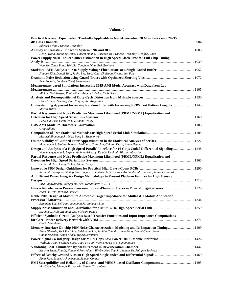### Volume 2

| Practical Receiver Equalization Tradeoffs Applicable to Next-Generation 28 Gb/s Links with 20-35                                                                                                        |  |
|---------------------------------------------------------------------------------------------------------------------------------------------------------------------------------------------------------|--|
| Edward Frlan, Francois Tremblay                                                                                                                                                                         |  |
| Henry Wong, Xiaoqing Dong, Vincent Huang, Clarence Yu, Francois Tremblay, Geoffrey Zhan                                                                                                                 |  |
| Power Supply Noise Induced Jitter Estimation in High Speed Clock Tree for Full Chip Timing                                                                                                              |  |
| Wen Yin, Zegui Pang, Wei Liu, Tonghao Ding, Erik Breiland                                                                                                                                               |  |
|                                                                                                                                                                                                         |  |
| Jingook Kim, Dongil Shin, Junho Lee, Sunki Cho, Chulsoon Hwang, Jun Fan                                                                                                                                 |  |
| Eric Bogatin, Lambert (Bert) Simonovich                                                                                                                                                                 |  |
| Measurement-based Simulation: Increasing IBIS-AMI Model Accuracy with Data from Lab                                                                                                                     |  |
|                                                                                                                                                                                                         |  |
| Michael Steinberger, Paul Wildes, Anders Ekholm, Nicke Svee                                                                                                                                             |  |
|                                                                                                                                                                                                         |  |
| Daniel Chow, Shufang Tian, Yanjing Ke, Kaiyu Ren<br>Understanding Apparent Increasing Random Jitter with Increasing PRBS Test Pattern Lengths  1143                                                     |  |
| <b>Martin Miller</b>                                                                                                                                                                                    |  |
| Partial Response and Noise Predictive Maximum Likelihood (PRML/NPML) Equalization and                                                                                                                   |  |
| Pervez M. Aziz, Cathy Ye Liu, Adam Healey                                                                                                                                                               |  |
|                                                                                                                                                                                                         |  |
| Greg Edlund                                                                                                                                                                                             |  |
| Masashi Shimanouchi, Mike Peng Li, Hsinho Wu                                                                                                                                                            |  |
|                                                                                                                                                                                                         |  |
| Mohammad S. Mobin, Amaresh Malipatil, Cathy Liu, Chintan Desai, Adam Healey                                                                                                                             |  |
| Design and Analysis of a High-Speed Parallel Interface for 16 Gbps Coded Differential Signaling 1248<br>Wendemagegnehu T. Beyene, Amir Amirkhany, Kambiz Kaviani, Aliazam Abbasfar                      |  |
| Partial Response and Noise Predictive Maximum Likelihood (PRML/NPML) Equalization and                                                                                                                   |  |
| Pervez M. Aziz, Cathy Ye Liu, Adam Healey                                                                                                                                                               |  |
|                                                                                                                                                                                                         |  |
| Ketan Shringarpure, Siming Pan, Jingook Kim, Brice Achkir, Bruce Archambeault, Jun Fan, James Drewniak<br>An Efficient Power Integrity Design Methodology to Prevent Platform Failures for High Density |  |
|                                                                                                                                                                                                         |  |
| Vira Ragavassamy, Jiangqi He, Arul Kandasamy, Y. L. Li                                                                                                                                                  |  |
|                                                                                                                                                                                                         |  |
| Joachim Held, Richard Sjiariel                                                                                                                                                                          |  |
| Noble PDN Design of Maximum Allowable Target Impedance for Multi-GHz Mobile Application                                                                                                                 |  |
|                                                                                                                                                                                                         |  |
| Seungbae Lee, Seil Kim, Jeongmin Jo, Jungman Lim                                                                                                                                                        |  |
| Suzanne L. Huh, Xiaoping Liu, Vishram Pandit                                                                                                                                                            |  |
| Efficient Symbolic Circuit Analysis Based Transfer Functions and Input Impedance Computations                                                                                                           |  |
|                                                                                                                                                                                                         |  |
| Om P. Mandhana                                                                                                                                                                                          |  |
| Bipin Dhavale, Yuri Tretiakov, Shishuang Sun, Sunitha Chandra, June Feng, Daniel Chow, Janani<br>Chandrasekhar, Aman Aflaki, Mayra Sarmiento                                                            |  |
| Weiliang Yuan, Seungbae Lee, Chan-Min Jo, Woong Hwan Ryu, Sangmin Lee                                                                                                                                   |  |
|                                                                                                                                                                                                         |  |
| Xiaoxia Zhou, Jing Li, Hongmei Fan, Alpesh Bhobe, Kam Taunk, Jinghan Yu, Philippe Sochoux                                                                                                               |  |
|                                                                                                                                                                                                         |  |
| Alma Jaze, Bruce Archambeault, Samuel Connor                                                                                                                                                            |  |
| Yin-Chen Lu, Jehangir Parvereshi, Sassan Tabatabaei                                                                                                                                                     |  |